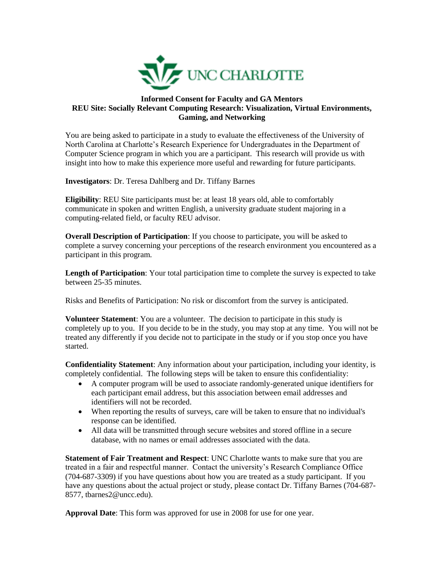

## **Informed Consent for Faculty and GA Mentors REU Site: Socially Relevant Computing Research: Visualization, Virtual Environments, Gaming, and Networking**

You are being asked to participate in a study to evaluate the effectiveness of the University of North Carolina at Charlotte's Research Experience for Undergraduates in the Department of Computer Science program in which you are a participant. This research will provide us with insight into how to make this experience more useful and rewarding for future participants.

**Investigators**: Dr. Teresa Dahlberg and Dr. Tiffany Barnes

**Eligibility**: REU Site participants must be: at least 18 years old, able to comfortably communicate in spoken and written English, a university graduate student majoring in a computing-related field, or faculty REU advisor.

**Overall Description of Participation**: If you choose to participate, you will be asked to complete a survey concerning your perceptions of the research environment you encountered as a participant in this program.

**Length of Participation**: Your total participation time to complete the survey is expected to take between 25-35 minutes.

Risks and Benefits of Participation: No risk or discomfort from the survey is anticipated.

**Volunteer Statement**: You are a volunteer. The decision to participate in this study is completely up to you. If you decide to be in the study, you may stop at any time. You will not be treated any differently if you decide not to participate in the study or if you stop once you have started.

**Confidentiality Statement**: Any information about your participation, including your identity, is completely confidential. The following steps will be taken to ensure this confidentiality:

- A computer program will be used to associate randomly-generated unique identifiers for each participant email address, but this association between email addresses and identifiers will not be recorded.
- When reporting the results of surveys, care will be taken to ensure that no individual's response can be identified.
- All data will be transmitted through secure websites and stored offline in a secure database, with no names or email addresses associated with the data.

**Statement of Fair Treatment and Respect**: UNC Charlotte wants to make sure that you are treated in a fair and respectful manner. Contact the university's Research Compliance Office (704-687-3309) if you have questions about how you are treated as a study participant. If you have any questions about the actual project or study, please contact Dr. Tiffany Barnes (704-687- 8577, tbarnes2@uncc.edu).

**Approval Date**: This form was approved for use in 2008 for use for one year.